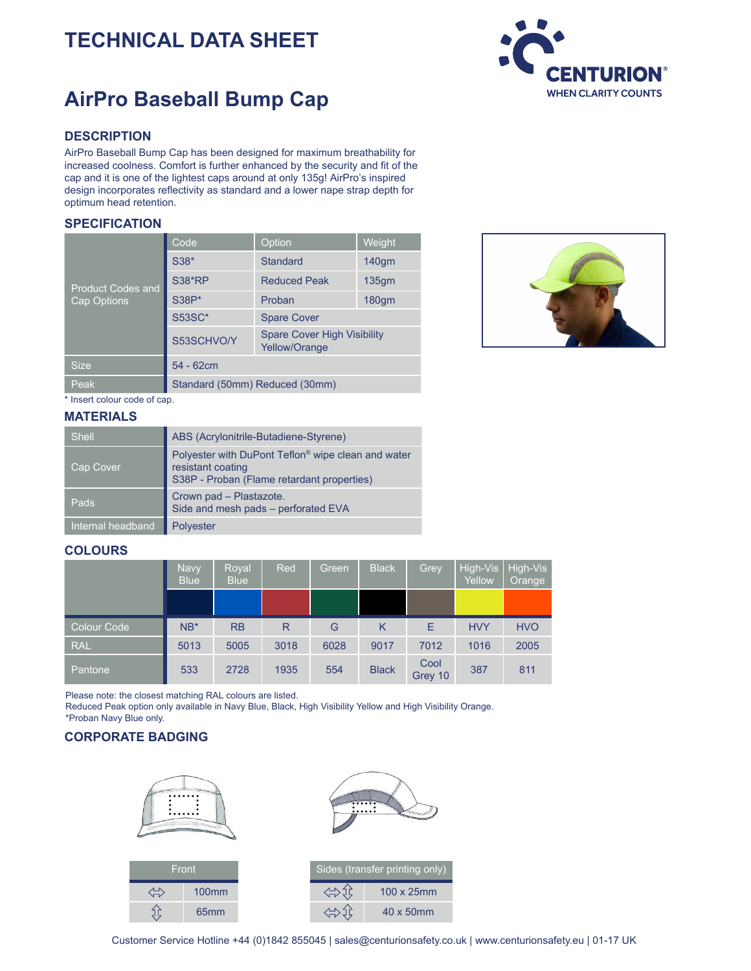# **TECHNICAL DATA SHEET**

# **AirPro Baseball Bump Cap**

### **DESCRIPTION**

AirPro Baseball Bump Cap has been designed for maximum breathability for increased coolness. Comfort is further enhanced by the security and fit of the cap and it is one of the lightest caps around at only 135g! AirPro's inspired design incorporates reflectivity as standard and a lower nape strap depth for optimum head retention.

#### **SPECIFICATION**

| <b>Product Codes and</b><br>Cap Options | Code                           | Option                                              | Weight            |  |  |  |
|-----------------------------------------|--------------------------------|-----------------------------------------------------|-------------------|--|--|--|
|                                         | S38*                           | <b>Standard</b>                                     | 140gm             |  |  |  |
|                                         | <b>S38*RP</b>                  | <b>Reduced Peak</b>                                 | 135 <sub>gm</sub> |  |  |  |
|                                         | <b>S38P*</b>                   | Proban                                              | 180 <sub>gm</sub> |  |  |  |
|                                         | <b>S53SC*</b>                  | <b>Spare Cover</b>                                  |                   |  |  |  |
|                                         | S53SCHVO/Y                     | <b>Spare Cover High Visibility</b><br>Yellow/Orange |                   |  |  |  |
| <b>Size</b>                             | $54 - 62$ cm                   |                                                     |                   |  |  |  |
| Peak                                    | Standard (50mm) Reduced (30mm) |                                                     |                   |  |  |  |



\* Insert colour code of cap.

#### **MATERIALS**

| <b>Shell</b>      | ABS (Acrylonitrile-Butadiene-Styrene)                                                                                 |
|-------------------|-----------------------------------------------------------------------------------------------------------------------|
| Cap Cover         | Polyester with DuPont Teflon® wipe clean and water<br>resistant coating<br>S38P - Proban (Flame retardant properties) |
| Pads              | Crown pad - Plastazote.<br>Side and mesh pads - perforated EVA                                                        |
| Internal headband | <b>Polyester</b>                                                                                                      |

#### **COLOURS**

|             | Navy<br><b>Blue</b> | Royal<br><b>Blue</b> | Red  | Green | <b>Black</b> | Grey            | High-Vis<br>Yellow | High-Vis<br>Orange |
|-------------|---------------------|----------------------|------|-------|--------------|-----------------|--------------------|--------------------|
|             |                     |                      |      |       |              |                 |                    |                    |
| Colour Code | $NB*$               | RB                   | R    | G     | K            | Е               | <b>HVY</b>         | <b>HVO</b>         |
| <b>RAL</b>  | 5013                | 5005                 | 3018 | 6028  | 9017         | 7012            | 1016               | 2005               |
| Pantone     | 533                 | 2728                 | 1935 | 554   | <b>Black</b> | Cool<br>Grey 10 | 387                | 811                |

Please note: the closest matching RAL colours are listed.

Reduced Peak option only available in Navy Blue, Black, High Visibility Yellow and High Visibility Orange. \*Proban Navy Blue only.

## **CORPORATE BADGING**